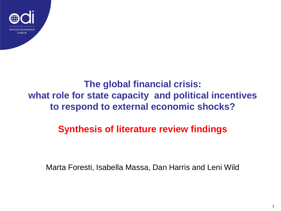

### **The global financial crisis: what role for state capacity and political incentives to respond to external economic shocks?**

### **Synthesis of literature review findings**

Marta Foresti, Isabella Massa, Dan Harris and Leni Wild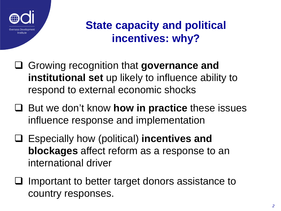

### **State capacity and political incentives: why?**

- Growing recognition that **governance and institutional set** up likely to influence ability to respond to external economic shocks
- But we don't know **how in practice** these issues influence response and implementation
- Especially how (political) **incentives and blockages** affect reform as a response to an international driver
- Important to better target donors assistance to country responses.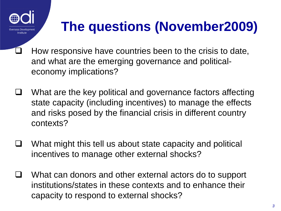

## **The questions (November2009)**

- How responsive have countries been to the crisis to date, and what are the emerging governance and politicaleconomy implications?
- $\Box$  What are the key political and governance factors affecting state capacity (including incentives) to manage the effects and risks posed by the financial crisis in different country contexts?
- $\Box$  What might this tell us about state capacity and political incentives to manage other external shocks?
- What can donors and other external actors do to support institutions/states in these contexts and to enhance their capacity to respond to external shocks?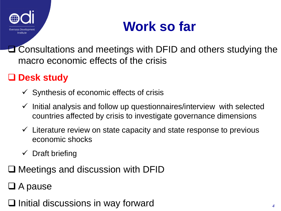

### **Work so far**

**Let** Consultations and meetings with DFID and others studying the macro economic effects of the crisis

### **Desk study**

- $\checkmark$  Synthesis of economic effects of crisis
- $\checkmark$  Initial analysis and follow up questionnaires/interview with selected countries affected by crisis to investigate governance dimensions
- $\checkmark$  Literature review on state capacity and state response to previous economic shocks
- $\checkmark$  Draft briefing
- $\Box$  Meetings and discussion with DFID
- $\Box$  A pause
- $\Box$  Initial discussions in way forward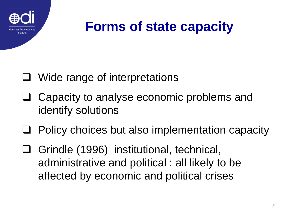

### **Forms of state capacity**

### Wide range of interpretations

- **□** Capacity to analyse economic problems and identify solutions
- $\Box$  Policy choices but also implementation capacity
- Grindle (1996) institutional, technical, administrative and political : all likely to be affected by economic and political crises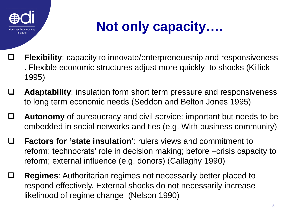

# **Not only capacity….**

- **Flexibility**: capacity to innovate/enterpreneurship and responsiveness . Flexible economic structures adjust more quickly to shocks (Killick 1995)
- **Adaptability**: insulation form short term pressure and responsiveness to long term economic needs (Seddon and Belton Jones 1995)
- **Autonomy** of bureaucracy and civil service: important but needs to be embedded in social networks and ties (e.g. With business community)
- **Factors for 'state insulation**': rulers views and commitment to reform: technocrats' role in decision making; before –crisis capacity to reform; external influence (e.g. donors) (Callaghy 1990)
- **Regimes**: Authoritarian regimes not necessarily better placed to respond effectively. External shocks do not necessarily increase likelihood of regime change (Nelson 1990)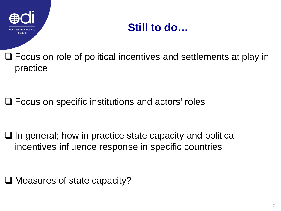

### **Still to do…**

□ Focus on role of political incentives and settlements at play in practice

**□ Focus on specific institutions and actors' roles** 

 $\Box$  In general; how in practice state capacity and political incentives influence response in specific countries

□ Measures of state capacity?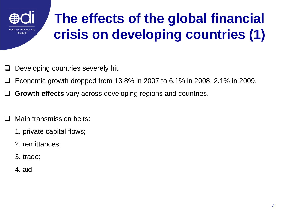

# **The effects of the global financial crisis on developing countries (1)**

- Developing countries severely hit.
- Economic growth dropped from 13.8% in 2007 to 6.1% in 2008, 2.1% in 2009.
- **Growth effects** vary across developing regions and countries.
- Main transmission belts:
	- 1. private capital flows;
	- 2. remittances;
	- 3. trade;
	- 4. aid.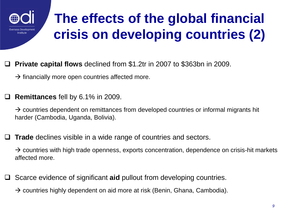

# **The effects of the global financial crisis on developing countries (2)**

#### **Private capital flows** declined from \$1.2tr in 2007 to \$363bn in 2009.

 $\rightarrow$  financially more open countries affected more.

**Remittances** fell by 6.1% in 2009.

 $\rightarrow$  countries dependent on remittances from developed countries or informal migrants hit harder (Cambodia, Uganda, Bolivia).

**Trade** declines visible in a wide range of countries and sectors.

 $\rightarrow$  countries with high trade openness, exports concentration, dependence on crisis-hit markets affected more.

Scarce evidence of significant **aid** pullout from developing countries.

 $\rightarrow$  countries highly dependent on aid more at risk (Benin, Ghana, Cambodia).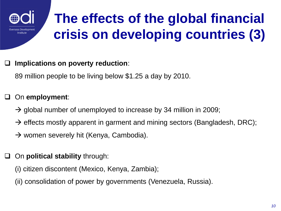

# **The effects of the global financial crisis on developing countries (3)**

**Implications on poverty reduction**:

89 million people to be living below \$1.25 a day by 2010.

#### On **employment**:

- $\rightarrow$  global number of unemployed to increase by 34 million in 2009;
- $\rightarrow$  effects mostly apparent in garment and mining sectors (Bangladesh, DRC);
- $\rightarrow$  women severely hit (Kenya, Cambodia).
- On **political stability** through:
	- (i) citizen discontent (Mexico, Kenya, Zambia);
	- (ii) consolidation of power by governments (Venezuela, Russia).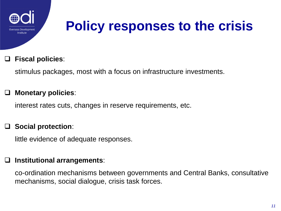

## **Policy responses to the crisis**

#### **Fiscal policies**:

stimulus packages, most with a focus on infrastructure investments.

#### **Monetary policies**:

interest rates cuts, changes in reserve requirements, etc.

#### **Social protection**:

little evidence of adequate responses.

#### **Institutional arrangements**:

co-ordination mechanisms between governments and Central Banks, consultative mechanisms, social dialogue, crisis task forces.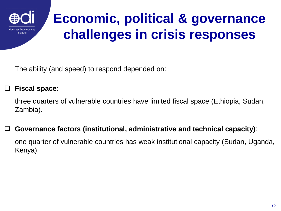

### **Economic, political & governance challenges in crisis responses**

The ability (and speed) to respond depended on:

#### **Fiscal space**:

three quarters of vulnerable countries have limited fiscal space (Ethiopia, Sudan, Zambia).

#### **Governance factors (institutional, administrative and technical capacity)**:

one quarter of vulnerable countries has weak institutional capacity (Sudan, Uganda, Kenya).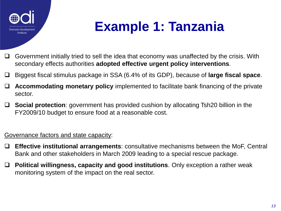

### **Example 1: Tanzania**

- $\Box$  Government initially tried to sell the idea that economy was unaffected by the crisis. With secondary effects authorities **adopted effective urgent policy interventions**.
- Biggest fiscal stimulus package in SSA (6.4% of its GDP), because of **large fiscal space**.
- **Accommodating monetary policy** implemented to facilitate bank financing of the private sector.
- **Social protection**: government has provided cushion by allocating Tsh20 billion in the FY2009/10 budget to ensure food at a reasonable cost.

#### Governance factors and state capacity:

- **Effective institutional arrangements**: consultative mechanisms between the MoF, Central Bank and other stakeholders in March 2009 leading to a special rescue package.
- **Political willingness, capacity and good institutions**. Only exception a rather weak monitoring system of the impact on the real sector.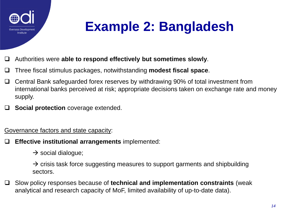

## **Example 2: Bangladesh**

- Authorities were **able to respond effectively but sometimes slowly**.
- Three fiscal stimulus packages, notwithstanding **modest fiscal space**.
- □ Central Bank safeguarded forex reserves by withdrawing 90% of total investment from international banks perceived at risk; appropriate decisions taken on exchange rate and money supply.
- **Social protection** coverage extended.

Governance factors and state capacity:

**Effective institutional arrangements** implemented:

 $\rightarrow$  social dialogue;

 $\rightarrow$  crisis task force suggesting measures to support garments and shipbuilding sectors.

 Slow policy responses because of **technical and implementation constraints** (weak analytical and research capacity of MoF, limited availability of up-to-date data).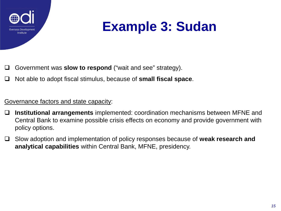

### **Example 3: Sudan**

- Government was **slow to respond** ("wait and see" strategy).
- Not able to adopt fiscal stimulus, because of **small fiscal space**.

#### Governance factors and state capacity:

- **Institutional arrangements** implemented: coordination mechanisms between MFNE and Central Bank to examine possible crisis effects on economy and provide government with policy options.
- Slow adoption and implementation of policy responses because of **weak research and analytical capabilities** within Central Bank, MFNE, presidency.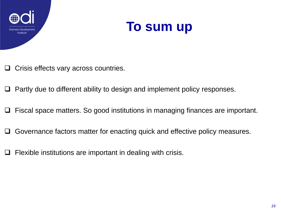



- $\Box$  Crisis effects vary across countries.
- $\Box$  Partly due to different ability to design and implement policy responses.
- Fiscal space matters. So good institutions in managing finances are important.
- □ Governance factors matter for enacting quick and effective policy measures.
- Flexible institutions are important in dealing with crisis.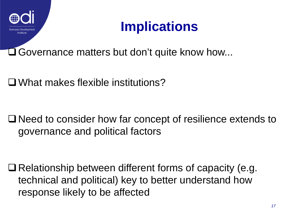

### **Implications**

**□ Governance matters but don't quite know how...** 

What makes flexible institutions?

■ Need to consider how far concept of resilience extends to governance and political factors

 $\Box$  Relationship between different forms of capacity (e.g. technical and political) key to better understand how response likely to be affected